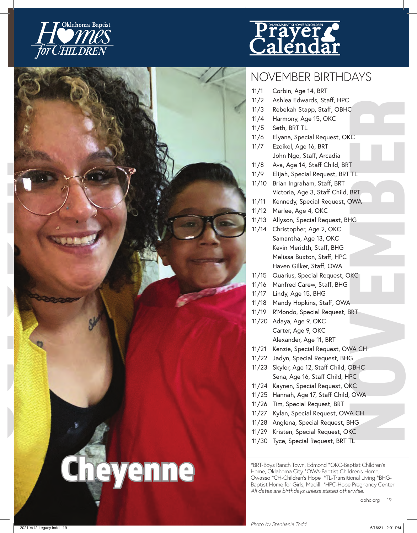





## NOVEMBER BIRTHDAYS

- <sup>1</sup>1/3 Sebekah Stapp, Staff, OBHC<br>11/4 Harmony, Age 15, OKC<br>11/4 Harmony, Age 15, OKC<br>11/5 Seth, BRT 11.<br>11/8 Seth, BRT 11.<br>11/8 Awa, Age 14, Staff Child, BRT<br>11/1 Awa, Age 14, Staff Child, BRT<br>11/10 Brian Ingraham, Staff, 11/1 Corbin, Age 14, BRT 11/2 Ashlea Edwards, Staff, HPC 11/3 Rebekah Stapp, Staff, OBHC 11/4 Harmony, Age 15, OKC 11/5 Seth, BRT TL 11/6 Elyana, Special Request, OKC 11/7 Ezeikel, Age 16, BRT John Ngo, Staff, Arcadia 11/8 Ava, Age 14, Staff Child, BRT 11/9 Elijah, Special Request, BRT TL 11/10 Brian Ingraham, Staff, BRT Victoria, Age 3, Staff Child, BRT 11/11 Kennedy, Special Request, OWA 11/12 Marlee, Age 4, OKC 11/13 Allyson, Special Request, BHG 11/14 Christopher, Age 2, OKC Samantha, Age 13, OKC Kevin Meridth, Staff, BHG Melissa Buxton, Staff, HPC Haven Gilker, Staff, OWA 11/15 Quarius, Special Request, OKC 11/16 Manfred Carew, Staff, BHG 11/17 Lindy, Age 15, BHG 11/18 Mandy Hopkins, Staff, OWA 11/19 R'Mondo, Special Request, BRT 11/20 Adaya, Age 9, OKC Carter, Age 9, OKC Alexander, Age 11, BRT 11/21 Kenzie, Special Request, OWA CH 11/22 Jadyn, Special Request, BHG 11/23 Skyler, Age 12, Staff Child, OBHC Sena, Age 16, Staff Child, HPC 11/24 Kaynen, Special Request, OKC 11/25 Hannah, Age 17, Staff Child, OWA 11/26 Tim, Special Request, BRT 11/27 Kylan, Special Request, OWA CH
- 11/28 Anglena, Special Request, BHG
- 11/29 Kristen, Special Request, OKC
- 11/30 Tyce, Special Request, BRT TL

\*BRT-Boys Ranch Town, Edmond \*OKC-Baptist Children's Home, Oklahoma City \*OWA-Baptist Children's Home, Owasso \*CH-Children's Hope \*TL-Transitional Living \*BHG-Baptist Home for Girls, Madill \*HPC-Hope Pregnancy Center